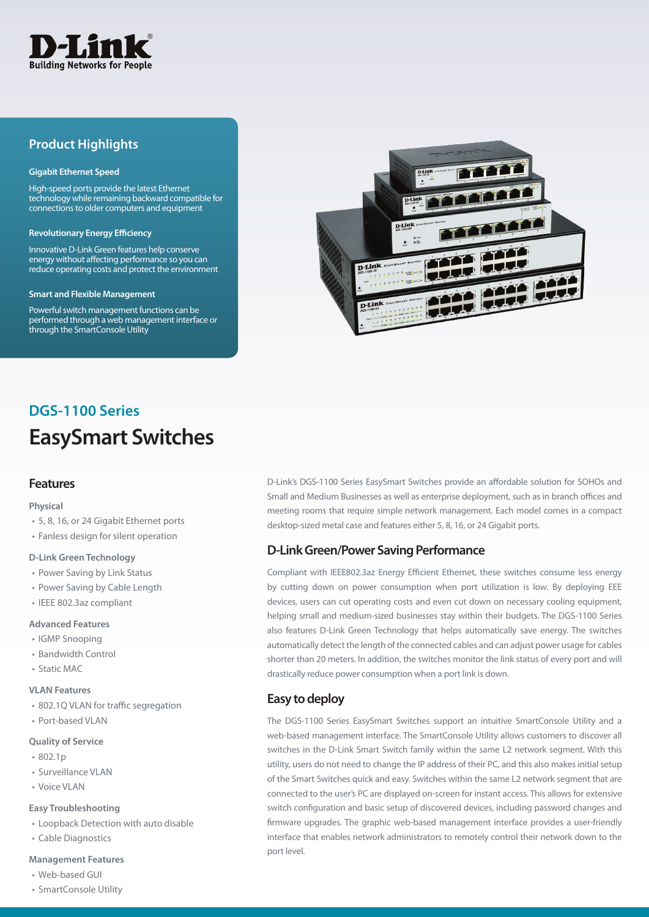

# **Product Highlights**

#### **Gigabit Ethernet Speed**

High-speed ports provide the latest Ethernet technology while remaining backward compatible for connections to older computers and equipment

#### **Revolutionary Energy Efficiency**

Innovative D-Link Green features help conserve energy without affecting performance so you can reduce operating costs and protect the environment

#### **Smart and Flexible Management**

Powerful switch management functions can be performed through a web management interface or through the SmartConsole Utility



# **EasySmart Switches DGS-1100 Series**

#### **Features**

#### **Physical**

- 5, 8, 16, or 24 Gigabit Ethernet ports
- Fanless design for silent operation

#### **D-Link Green Technology**

- Power Saving by Link Status
- Power Saving by Cable Length
- IEEE 802.3az compliant

#### **Advanced Features**

- IGMP Snooping
- Bandwidth Control
- Static MAC

#### **VLAN Features**

- 802.1Q VLAN for traffic segregation
- Port-based VLAN

#### **Quality of Service**

- 802.1p
- Surveillance VLAN
- Voice VLAN

#### **Easy Troubleshooting**

- Loopback Detection with auto disable
- Cable Diagnostics

#### **Management Features**

- Web-based GUI
- SmartConsole Utility

D-Link's DGS-1100 Series EasySmart Switches provide an affordable solution for SOHOs and Small and Medium Businesses as well as enterprise deployment, such as in branch offices and meeting rooms that require simple network management. Each model comes in a compact desktop-sized metal case and features either 5, 8, 16, or 24 Gigabit ports.

### **D-Link Green/Power Saving Performance**

Compliant with IEEE802.3az Energy Efficient Ethernet, these switches consume less energy by cutting down on power consumption when port utilization is low. By deploying EEE devices, users can cut operating costs and even cut down on necessary cooling equipment, helping small and medium-sized businesses stay within their budgets. The DGS-1100 Series also features D-Link Green Technology that helps automatically save energy. The switches automatically detect the length of the connected cables and can adjust power usage for cables shorter than 20 meters. In addition, the switches monitor the link status of every port and will drastically reduce power consumption when a port link is down.

## **Easy to deploy**

The DGS-1100 Series EasySmart Switches support an intuitive SmartConsole Utility and a web-based management interface. The SmartConsole Utility allows customers to discover all switches in the D-Link Smart Switch family within the same L2 network segment. With this utility, users do not need to change the IP address of their PC, and this also makes initial setup of the Smart Switches quick and easy. Switches within the same L2 network segment that are connected to the user's PC are displayed on-screen for instant access. This allows for extensive switch configuration and basic setup of discovered devices, including password changes and firmware upgrades. The graphic web-based management interface provides a user-friendly interface that enables network administrators to remotely control their network down to the port level.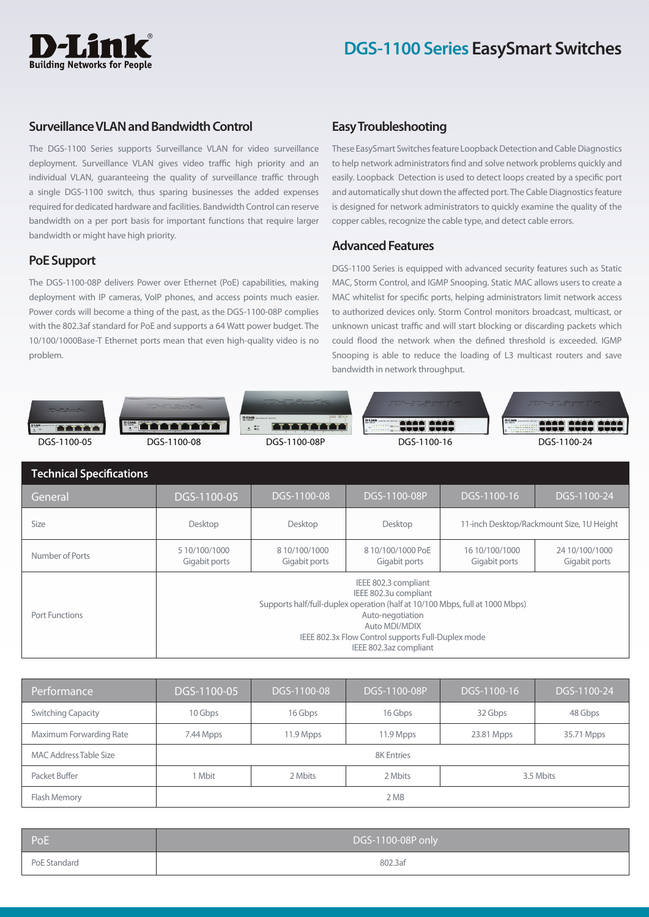# **Building Networks for People**

## **Surveillance VLAN and Bandwidth Control**

The DGS-1100 Series supports Surveillance VLAN for video surveillance deployment. Surveillance VLAN gives video traffic high priority and an individual VLAN, guaranteeing the quality of surveillance traffic through a single DGS-1100 switch, thus sparing businesses the added expenses required for dedicated hardware and facilities. Bandwidth Control can reserve bandwidth on a per port basis for important functions that require larger bandwidth or might have high priority.

# **PoE Support**

The DGS-1100-08P delivers Power over Ethernet (PoE) capabilities, making deployment with IP cameras, VoIP phones, and access points much easier. Power cords will become a thing of the past, as the DGS-1100-08P complies with the 802.3af standard for PoE and supports a 64 Watt power budget. The 10/100/1000Base-T Ethernet ports mean that even high-quality video is no problem.

# **Easy Troubleshooting**

These EasySmart Switches feature Loopback Detection and Cable Diagnostics to help network administrators find and solve network problems quickly and easily. Loopback Detection is used to detect loops created by a specific port and automatically shut down the affected port. The Cable Diagnostics feature is designed for network administrators to quickly examine the quality of the copper cables, recognize the cable type, and detect cable errors.

## **Advanced Features**

DGS-1100 Series is equipped with advanced security features such as Static MAC, Storm Control, and IGMP Snooping. Static MAC allows users to create a MAC whitelist for specific ports, helping administrators limit network access to authorized devices only. Storm Control monitors broadcast, multicast, or unknown unicast traffic and will start blocking or discarding packets which could flood the network when the defined threshold is exceeded. IGMP Snooping is able to reduce the loading of L3 multicast routers and save bandwidth in network throughput.



| <b>Technical Specifications</b> |                                                                                                                                                                                                                                                    |                                |                                   |                                 |                                           |
|---------------------------------|----------------------------------------------------------------------------------------------------------------------------------------------------------------------------------------------------------------------------------------------------|--------------------------------|-----------------------------------|---------------------------------|-------------------------------------------|
| General                         | DGS-1100-05                                                                                                                                                                                                                                        | DGS-1100-08                    | DGS-1100-08P                      | DGS-1100-16                     | DGS-1100-24                               |
| <b>Size</b>                     | Desktop                                                                                                                                                                                                                                            | Desktop                        | Desktop                           |                                 | 11-inch Desktop/Rackmount Size, 1U Height |
| Number of Ports                 | 5 10/100/1000<br>Gigabit ports                                                                                                                                                                                                                     | 8 10/100/1000<br>Gigabit ports | 810/100/1000 PoE<br>Gigabit ports | 16 10/100/1000<br>Gigabit ports | 24 10/100/1000<br>Gigabit ports           |
| Port Functions                  | IEEE 802.3 compliant<br>IEEE 802.3u compliant<br>Supports half/full-duplex operation (half at 10/100 Mbps, full at 1000 Mbps)<br>Auto-negotiation<br>Auto MDI/MDIX<br>IEEE 802.3x Flow Control supports Full-Duplex mode<br>IEEE 802.3az compliant |                                |                                   |                                 |                                           |

| Performance                   | DGS-1100-05 | DGS-1100-08 | DGS-1100-08P | DGS-1100-16 | DGS-1100-24 |
|-------------------------------|-------------|-------------|--------------|-------------|-------------|
| <b>Switching Capacity</b>     | 10 Gbps     | 16 Gbps     | 16 Gbps      | 32 Gbps     | 48 Gbps     |
| Maximum Forwarding Rate       | 7.44 Mpps   | 11.9 Mpps   | 11.9 Mpps    | 23.81 Mpps  | 35.71 Mpps  |
| <b>MAC Address Table Size</b> | 8K Entries  |             |              |             |             |
| Packet Buffer                 | 1 Mbit      | 2 Mbits     | 2 Mbits      | 3.5 Mbits   |             |
| Flash Memory                  | 2 MB        |             |              |             |             |

| l PoE        | DGS-1100-08P only |
|--------------|-------------------|
| PoE Standard | 802.3af           |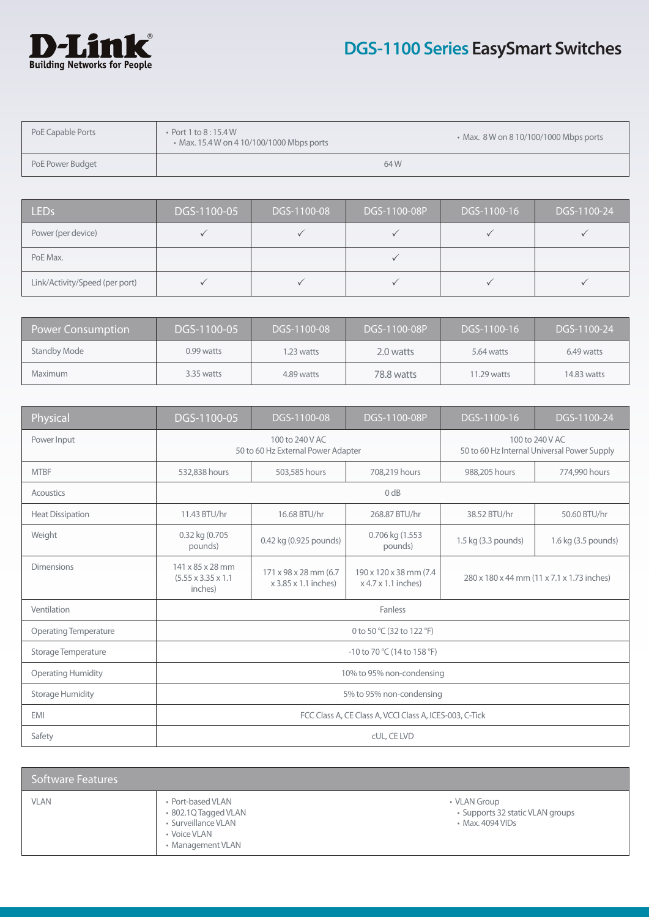

# **DGS-1100 Series EasySmart Switches**

| PoE Capable Ports | Port 1 to $8:15.4 W$<br>• Max. 15.4 W on 4 10/100/1000 Mbps ports |     | • Max. 8 W on 8 10/100/1000 Mbps ports |
|-------------------|-------------------------------------------------------------------|-----|----------------------------------------|
| PoE Power Budget  |                                                                   | 64W |                                        |

| LED <sub>s</sub>               | DGS-1100-05 | DGS-1100-08 | DGS-1100-08P | DGS-1100-16 | DGS-1100-24 |
|--------------------------------|-------------|-------------|--------------|-------------|-------------|
| Power (per device)             |             |             |              |             |             |
| PoE Max.                       |             |             |              |             |             |
| Link/Activity/Speed (per port) |             |             |              |             |             |

| <b>Power Consumption</b> | DGS-1100-05 | DGS-1100-08 | DGS-1100-08P | DGS-1100-16 | DGS-1100-24 |
|--------------------------|-------------|-------------|--------------|-------------|-------------|
| <b>Standby Mode</b>      | 0.99 watts  | .23 watts   | 2.0 watts    | 5.64 watts  | 6.49 watts  |
| <b>Maximum</b>           | 3.35 watts  | 4.89 watts  | 78.8 watts   | 11.29 watts | 14.83 watts |

| Physical                     | DGS-1100-05                                                    | DGS-1100-08                                   | DGS-1100-08P                                       | DGS-1100-16                                                    | DGS-1100-24         |
|------------------------------|----------------------------------------------------------------|-----------------------------------------------|----------------------------------------------------|----------------------------------------------------------------|---------------------|
| Power Input                  | 100 to 240 V AC<br>50 to 60 Hz External Power Adapter          |                                               |                                                    | 100 to 240 V AC<br>50 to 60 Hz Internal Universal Power Supply |                     |
| <b>MTBF</b>                  | 532,838 hours                                                  | 503,585 hours                                 | 708,219 hours                                      | 988,205 hours                                                  | 774,990 hours       |
| Acoustics                    |                                                                | 0 dB                                          |                                                    |                                                                |                     |
| <b>Heat Dissipation</b>      | 11.43 BTU/hr                                                   | 16.68 BTU/hr                                  | 268.87 BTU/hr                                      | 38.52 BTU/hr                                                   | 50.60 BTU/hr        |
| Weight                       | 0.32 kg (0.705<br>pounds)                                      | 0.42 kg (0.925 pounds)                        | 0.706 kg (1.553<br>pounds)                         | 1.5 kg (3.3 pounds)                                            | 1.6 kg (3.5 pounds) |
| <b>Dimensions</b>            | 141 x 85 x 28 mm<br>$(5.55 \times 3.35 \times 1.1)$<br>inches) | 171 x 98 x 28 mm (6.7<br>x 3.85 x 1.1 inches) | 190 x 120 x 38 mm (7.4)<br>$x$ 4.7 $x$ 1.1 inches) | 280 x 180 x 44 mm (11 x 7.1 x 1.73 inches)                     |                     |
| Ventilation                  | Fanless                                                        |                                               |                                                    |                                                                |                     |
| <b>Operating Temperature</b> | 0 to 50 °C (32 to 122 °F)                                      |                                               |                                                    |                                                                |                     |
| Storage Temperature          | -10 to 70 °C (14 to 158 °F)                                    |                                               |                                                    |                                                                |                     |
| <b>Operating Humidity</b>    | 10% to 95% non-condensing                                      |                                               |                                                    |                                                                |                     |
| <b>Storage Humidity</b>      | 5% to 95% non-condensing                                       |                                               |                                                    |                                                                |                     |
| <b>EMI</b>                   | FCC Class A, CE Class A, VCCI Class A, ICES-003, C-Tick        |                                               |                                                    |                                                                |                     |
| Safety                       | cUL, CE LVD                                                    |                                               |                                                    |                                                                |                     |

| Software Features |                                                                                                       |                                                                      |
|-------------------|-------------------------------------------------------------------------------------------------------|----------------------------------------------------------------------|
| <b>VLAN</b>       | • Port-based VLAN<br>• 802.1Q Tagged VLAN<br>· Surveillance VLAN<br>• Voice VLAN<br>• Management VLAN | • VLAN Group<br>• Supports 32 static VLAN groups<br>• Max. 4094 VIDs |